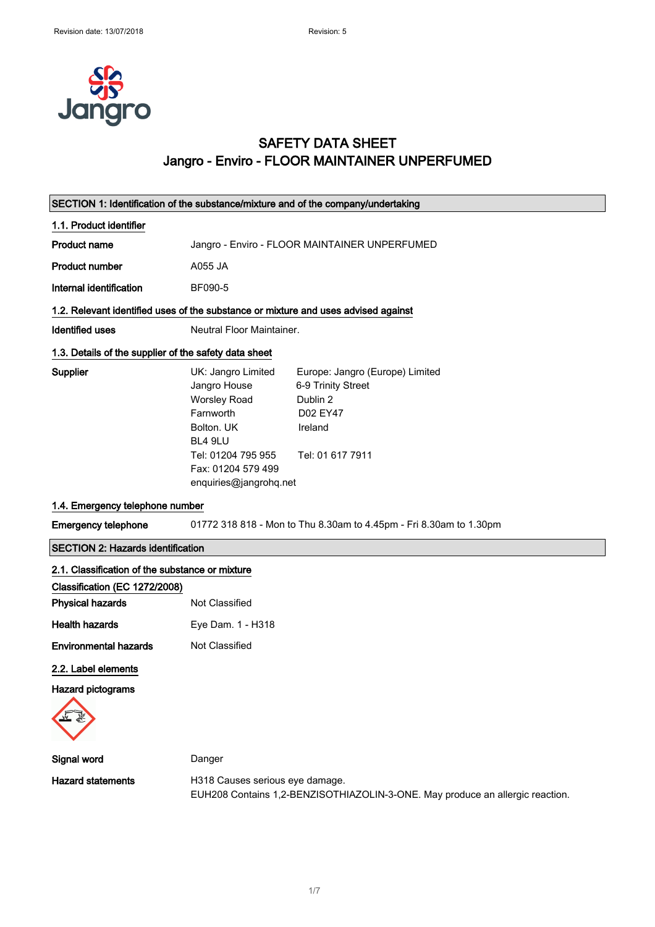

### SAFETY DATA SHEET Jangro - Enviro - FLOOR MAINTAINER UNPERFUMED

| SECTION 1: Identification of the substance/mixture and of the company/undertaking  |                                                                                                                                                                       |                                                                                                                     |
|------------------------------------------------------------------------------------|-----------------------------------------------------------------------------------------------------------------------------------------------------------------------|---------------------------------------------------------------------------------------------------------------------|
| 1.1. Product identifier                                                            |                                                                                                                                                                       |                                                                                                                     |
| <b>Product name</b>                                                                | Jangro - Enviro - FLOOR MAINTAINER UNPERFUMED                                                                                                                         |                                                                                                                     |
| <b>Product number</b>                                                              | A055 JA                                                                                                                                                               |                                                                                                                     |
| Internal identification                                                            | BF090-5                                                                                                                                                               |                                                                                                                     |
| 1.2. Relevant identified uses of the substance or mixture and uses advised against |                                                                                                                                                                       |                                                                                                                     |
| <b>Identified uses</b>                                                             | Neutral Floor Maintainer.                                                                                                                                             |                                                                                                                     |
| 1.3. Details of the supplier of the safety data sheet                              |                                                                                                                                                                       |                                                                                                                     |
| Supplier                                                                           | UK: Jangro Limited<br>Jangro House<br><b>Worsley Road</b><br>Farnworth<br>Bolton, UK<br>BL4 9LU<br>Tel: 01204 795 955<br>Fax: 01204 579 499<br>enquiries@jangrohq.net | Europe: Jangro (Europe) Limited<br>6-9 Trinity Street<br>Dublin 2<br><b>D02 EY47</b><br>Ireland<br>Tel: 01 617 7911 |
| 1.4. Emergency telephone number                                                    |                                                                                                                                                                       |                                                                                                                     |
| <b>Emergency telephone</b>                                                         |                                                                                                                                                                       | 01772 318 818 - Mon to Thu 8.30am to 4.45pm - Fri 8.30am to 1.30pm                                                  |
| <b>SECTION 2: Hazards identification</b>                                           |                                                                                                                                                                       |                                                                                                                     |
| 2.1. Classification of the substance or mixture                                    |                                                                                                                                                                       |                                                                                                                     |
| Classification (EC 1272/2008)                                                      |                                                                                                                                                                       |                                                                                                                     |
| <b>Physical hazards</b>                                                            | Not Classified                                                                                                                                                        |                                                                                                                     |
| <b>Health hazards</b>                                                              | Eye Dam. 1 - H318                                                                                                                                                     |                                                                                                                     |
| <b>Environmental hazards</b>                                                       | Not Classified                                                                                                                                                        |                                                                                                                     |
| 2.2. Label elements<br><b>Hazard pictograms</b>                                    |                                                                                                                                                                       |                                                                                                                     |
| Signal word                                                                        | Danger                                                                                                                                                                |                                                                                                                     |
| <b>Hazard statements</b>                                                           | H318 Causes serious eye damage.                                                                                                                                       | EUH208 Contains 1,2-BENZISOTHIAZOLIN-3-ONE. May produce an allergic reaction.                                       |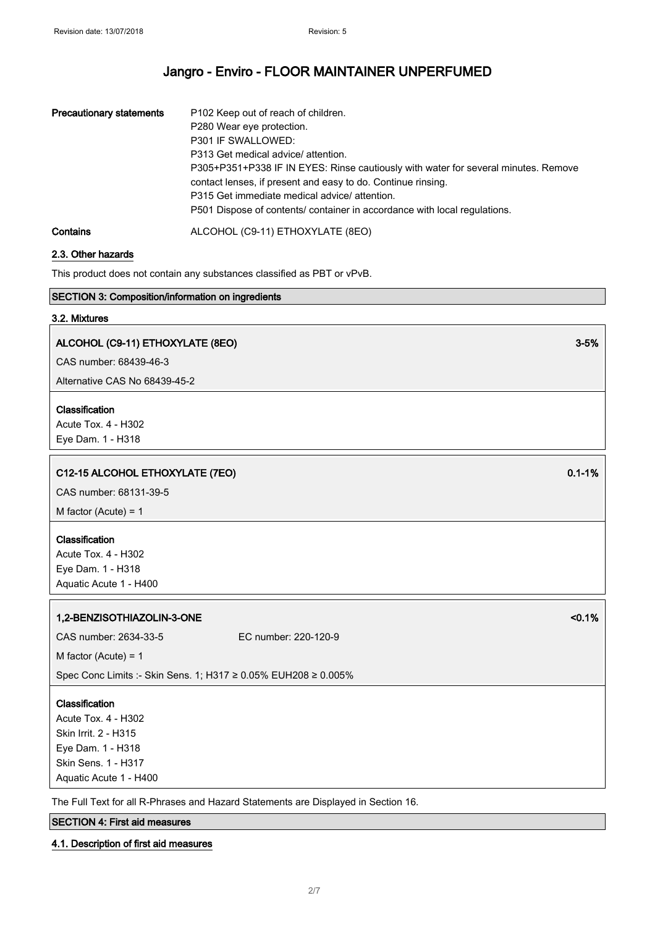| <b>Precautionary statements</b> | P102 Keep out of reach of children.<br>P280 Wear eye protection.<br>P301 IF SWALLOWED:<br>P313 Get medical advice/ attention.<br>P305+P351+P338 IF IN EYES: Rinse cautiously with water for several minutes. Remove<br>contact lenses, if present and easy to do. Continue rinsing.<br>P315 Get immediate medical advice/ attention.<br>P501 Dispose of contents/ container in accordance with local regulations. |
|---------------------------------|-------------------------------------------------------------------------------------------------------------------------------------------------------------------------------------------------------------------------------------------------------------------------------------------------------------------------------------------------------------------------------------------------------------------|
| Contains                        | ALCOHOL (C9-11) ETHOXYLATE (8EO)                                                                                                                                                                                                                                                                                                                                                                                  |

#### 2.3. Other hazards

This product does not contain any substances classified as PBT or vPvB.

#### SECTION 3: Composition/information on ingredients

#### 3.2. Mixtures

### ALCOHOL (C9-11) ETHOXYLATE (8EO) 3-5%

CAS number: 68439-46-3

Alternative CAS No 68439-45-2

#### Classification

Acute Tox. 4 - H302 Eye Dam. 1 - H318

#### C12-15 ALCOHOL ETHOXYLATE (7EO) 0.1-1%

CAS number: 68131-39-5

M factor (Acute) = 1

### Classification

Acute Tox. 4 - H302 Eye Dam. 1 - H318 Aquatic Acute 1 - H400

#### 1,2-BENZISOTHIAZOLIN-3-ONE <0.1%

CAS number: 2634-33-5 EC number: 220-120-9

M factor (Acute) = 1

Spec Conc Limits :- Skin Sens. 1; H317 ≥ 0.05% EUH208 ≥ 0.005%

#### **Classification**

Acute Tox. 4 - H302 Skin Irrit. 2 - H315 Eye Dam. 1 - H318 Skin Sens. 1 - H317 Aquatic Acute 1 - H400

The Full Text for all R-Phrases and Hazard Statements are Displayed in Section 16.

#### SECTION 4: First aid measures

#### 4.1. Description of first aid measures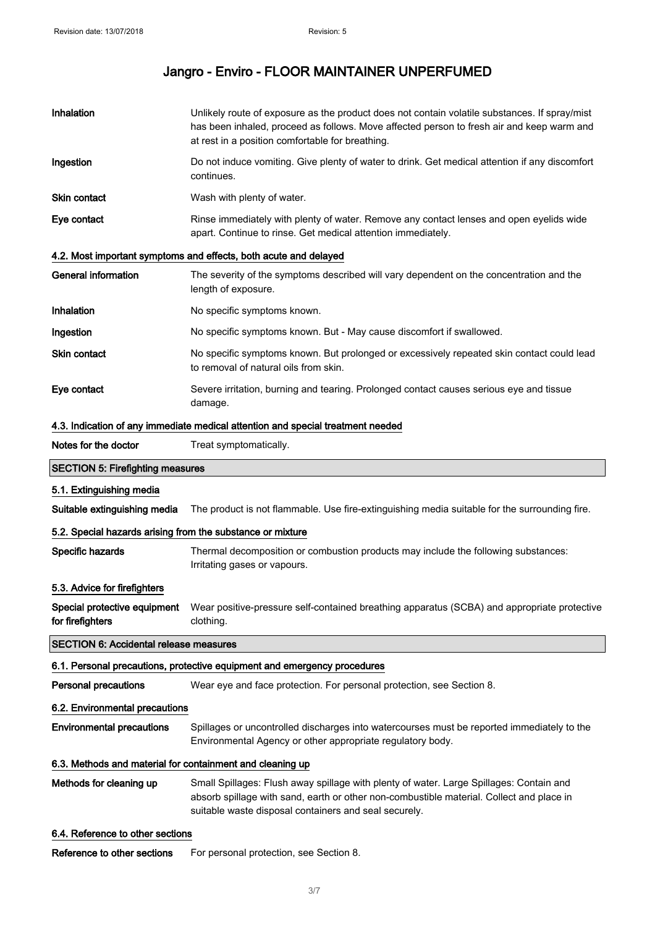| Inhalation                                                 | Unlikely route of exposure as the product does not contain volatile substances. If spray/mist<br>has been inhaled, proceed as follows. Move affected person to fresh air and keep warm and<br>at rest in a position comfortable for breathing. |  |
|------------------------------------------------------------|------------------------------------------------------------------------------------------------------------------------------------------------------------------------------------------------------------------------------------------------|--|
| Ingestion                                                  | Do not induce vomiting. Give plenty of water to drink. Get medical attention if any discomfort<br>continues.                                                                                                                                   |  |
| <b>Skin contact</b>                                        | Wash with plenty of water.                                                                                                                                                                                                                     |  |
| Eye contact                                                | Rinse immediately with plenty of water. Remove any contact lenses and open eyelids wide<br>apart. Continue to rinse. Get medical attention immediately.                                                                                        |  |
|                                                            | 4.2. Most important symptoms and effects, both acute and delayed                                                                                                                                                                               |  |
| <b>General information</b>                                 | The severity of the symptoms described will vary dependent on the concentration and the<br>length of exposure.                                                                                                                                 |  |
| Inhalation                                                 | No specific symptoms known.                                                                                                                                                                                                                    |  |
| Ingestion                                                  | No specific symptoms known. But - May cause discomfort if swallowed.                                                                                                                                                                           |  |
| Skin contact                                               | No specific symptoms known. But prolonged or excessively repeated skin contact could lead<br>to removal of natural oils from skin.                                                                                                             |  |
| Eye contact                                                | Severe irritation, burning and tearing. Prolonged contact causes serious eye and tissue<br>damage.                                                                                                                                             |  |
|                                                            | 4.3. Indication of any immediate medical attention and special treatment needed                                                                                                                                                                |  |
| Notes for the doctor                                       | Treat symptomatically.                                                                                                                                                                                                                         |  |
| <b>SECTION 5: Firefighting measures</b>                    |                                                                                                                                                                                                                                                |  |
| 5.1. Extinguishing media                                   |                                                                                                                                                                                                                                                |  |
| Suitable extinguishing media                               | The product is not flammable. Use fire-extinguishing media suitable for the surrounding fire.                                                                                                                                                  |  |
| 5.2. Special hazards arising from the substance or mixture |                                                                                                                                                                                                                                                |  |
| Specific hazards                                           | Thermal decomposition or combustion products may include the following substances:<br>Irritating gases or vapours.                                                                                                                             |  |
| 5.3. Advice for firefighters                               |                                                                                                                                                                                                                                                |  |
| Special protective equipment<br>for firefighters           | Wear positive-pressure self-contained breathing apparatus (SCBA) and appropriate protective<br>clothing.                                                                                                                                       |  |
| <b>SECTION 6: Accidental release measures</b>              |                                                                                                                                                                                                                                                |  |
|                                                            | 6.1. Personal precautions, protective equipment and emergency procedures                                                                                                                                                                       |  |
| <b>Personal precautions</b>                                | Wear eye and face protection. For personal protection, see Section 8.                                                                                                                                                                          |  |
| 6.2. Environmental precautions                             |                                                                                                                                                                                                                                                |  |
| <b>Environmental precautions</b>                           | Spillages or uncontrolled discharges into watercourses must be reported immediately to the<br>Environmental Agency or other appropriate regulatory body.                                                                                       |  |
| 6.3. Methods and material for containment and cleaning up  |                                                                                                                                                                                                                                                |  |
| Methods for cleaning up                                    | Small Spillages: Flush away spillage with plenty of water. Large Spillages: Contain and<br>absorb spillage with sand, earth or other non-combustible material. Collect and place in<br>suitable waste disposal containers and seal securely.   |  |
| 6.4. Reference to other sections                           |                                                                                                                                                                                                                                                |  |
| Reference to other sections                                | For personal protection, see Section 8.                                                                                                                                                                                                        |  |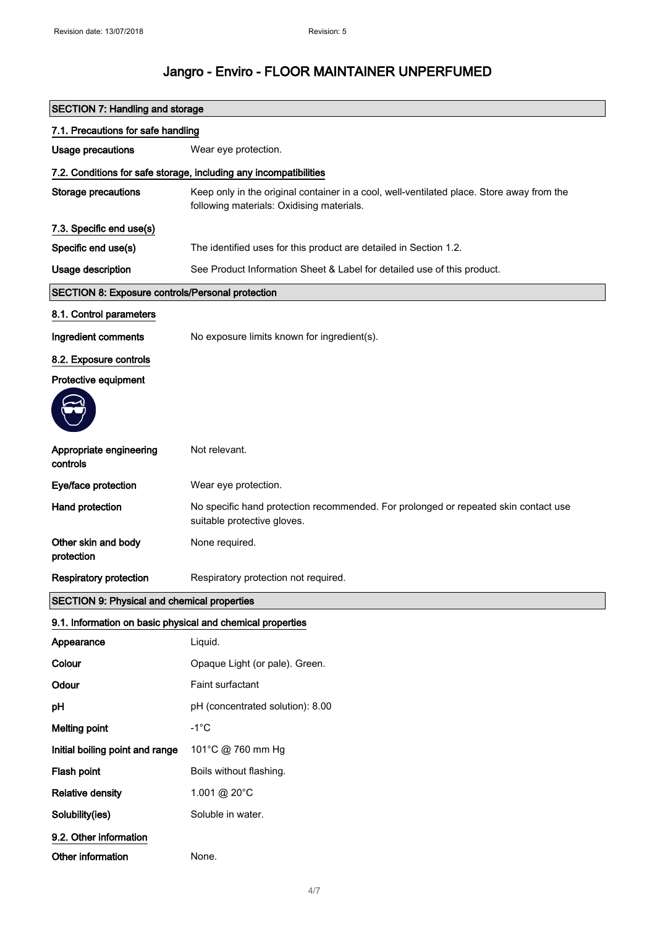| <b>SECTION 7: Handling and storage</b>                     |                                                                                                                                        |  |
|------------------------------------------------------------|----------------------------------------------------------------------------------------------------------------------------------------|--|
| 7.1. Precautions for safe handling                         |                                                                                                                                        |  |
| Usage precautions                                          | Wear eye protection.                                                                                                                   |  |
|                                                            | 7.2. Conditions for safe storage, including any incompatibilities                                                                      |  |
| <b>Storage precautions</b>                                 | Keep only in the original container in a cool, well-ventilated place. Store away from the<br>following materials: Oxidising materials. |  |
| 7.3. Specific end use(s)                                   |                                                                                                                                        |  |
| Specific end use(s)                                        | The identified uses for this product are detailed in Section 1.2.                                                                      |  |
| Usage description                                          | See Product Information Sheet & Label for detailed use of this product.                                                                |  |
| <b>SECTION 8: Exposure controls/Personal protection</b>    |                                                                                                                                        |  |
| 8.1. Control parameters                                    |                                                                                                                                        |  |
| Ingredient comments                                        | No exposure limits known for ingredient(s).                                                                                            |  |
| 8.2. Exposure controls                                     |                                                                                                                                        |  |
| Protective equipment                                       |                                                                                                                                        |  |
|                                                            |                                                                                                                                        |  |
| Appropriate engineering<br>controls                        | Not relevant.                                                                                                                          |  |
| Eye/face protection                                        | Wear eye protection.                                                                                                                   |  |
| Hand protection                                            | No specific hand protection recommended. For prolonged or repeated skin contact use<br>suitable protective gloves.                     |  |
| Other skin and body<br>protection                          | None required.                                                                                                                         |  |
| <b>Respiratory protection</b>                              | Respiratory protection not required.                                                                                                   |  |
| <b>SECTION 9: Physical and chemical properties</b>         |                                                                                                                                        |  |
| 9.1. Information on basic physical and chemical properties |                                                                                                                                        |  |
| Appearance                                                 | Liquid.                                                                                                                                |  |
| Colour                                                     | Opaque Light (or pale). Green.                                                                                                         |  |
| Odour                                                      | Faint surfactant                                                                                                                       |  |
| pH                                                         | pH (concentrated solution): 8.00                                                                                                       |  |
| <b>Melting point</b>                                       | $-1^{\circ}C$                                                                                                                          |  |
| Initial boiling point and range                            | 101°C @ 760 mm Hg                                                                                                                      |  |
| Flash point                                                | Boils without flashing.                                                                                                                |  |
| <b>Relative density</b>                                    | 1.001 @ 20°C                                                                                                                           |  |
| Solubility(ies)                                            | Soluble in water.                                                                                                                      |  |
| 9.2. Other information                                     |                                                                                                                                        |  |
| Other information                                          | None.                                                                                                                                  |  |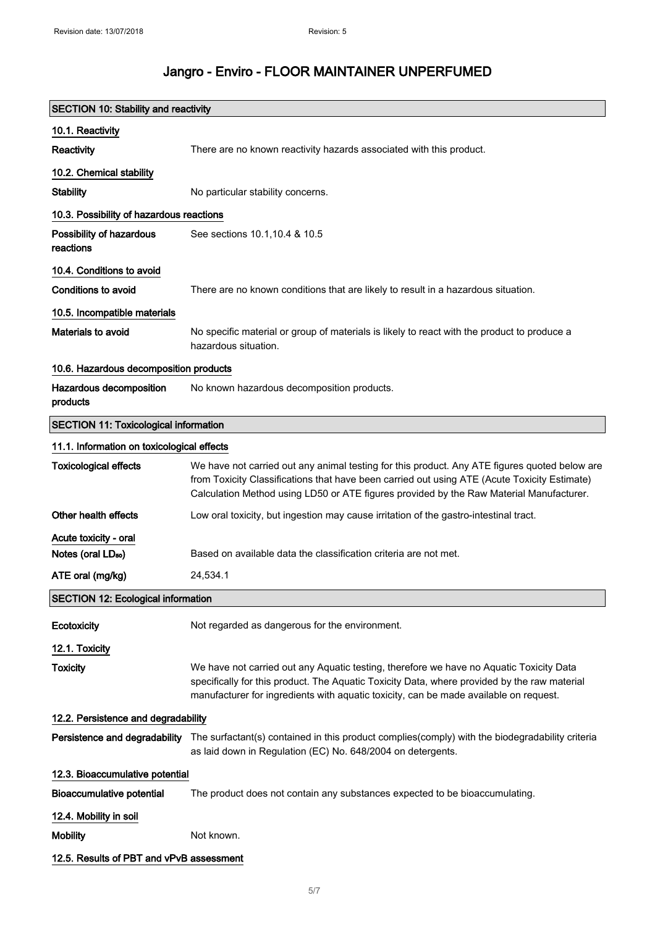| <b>SECTION 10: Stability and reactivity</b>  |                                                                                                                                                                                                                                                                                          |  |
|----------------------------------------------|------------------------------------------------------------------------------------------------------------------------------------------------------------------------------------------------------------------------------------------------------------------------------------------|--|
| 10.1. Reactivity                             |                                                                                                                                                                                                                                                                                          |  |
| Reactivity                                   | There are no known reactivity hazards associated with this product.                                                                                                                                                                                                                      |  |
| 10.2. Chemical stability                     |                                                                                                                                                                                                                                                                                          |  |
| <b>Stability</b>                             | No particular stability concerns.                                                                                                                                                                                                                                                        |  |
| 10.3. Possibility of hazardous reactions     |                                                                                                                                                                                                                                                                                          |  |
| Possibility of hazardous<br>reactions        | See sections 10.1, 10.4 & 10.5                                                                                                                                                                                                                                                           |  |
| 10.4. Conditions to avoid                    |                                                                                                                                                                                                                                                                                          |  |
| Conditions to avoid                          | There are no known conditions that are likely to result in a hazardous situation.                                                                                                                                                                                                        |  |
| 10.5. Incompatible materials                 |                                                                                                                                                                                                                                                                                          |  |
| Materials to avoid                           | No specific material or group of materials is likely to react with the product to produce a<br>hazardous situation.                                                                                                                                                                      |  |
| 10.6. Hazardous decomposition products       |                                                                                                                                                                                                                                                                                          |  |
| Hazardous decomposition<br>products          | No known hazardous decomposition products.                                                                                                                                                                                                                                               |  |
| <b>SECTION 11: Toxicological information</b> |                                                                                                                                                                                                                                                                                          |  |
| 11.1. Information on toxicological effects   |                                                                                                                                                                                                                                                                                          |  |
| <b>Toxicological effects</b>                 | We have not carried out any animal testing for this product. Any ATE figures quoted below are<br>from Toxicity Classifications that have been carried out using ATE (Acute Toxicity Estimate)<br>Calculation Method using LD50 or ATE figures provided by the Raw Material Manufacturer. |  |
| Other health effects                         | Low oral toxicity, but ingestion may cause irritation of the gastro-intestinal tract.                                                                                                                                                                                                    |  |
| Acute toxicity - oral                        |                                                                                                                                                                                                                                                                                          |  |
| Notes (oral LD <sub>50</sub> )               | Based on available data the classification criteria are not met.                                                                                                                                                                                                                         |  |
| ATE oral (mg/kg)                             | 24,534.1                                                                                                                                                                                                                                                                                 |  |
| <b>SECTION 12: Ecological information</b>    |                                                                                                                                                                                                                                                                                          |  |
| Ecotoxicity                                  | Not regarded as dangerous for the environment.                                                                                                                                                                                                                                           |  |
| 12.1. Toxicity                               |                                                                                                                                                                                                                                                                                          |  |
| <b>Toxicity</b>                              | We have not carried out any Aquatic testing, therefore we have no Aquatic Toxicity Data<br>specifically for this product. The Aquatic Toxicity Data, where provided by the raw material<br>manufacturer for ingredients with aquatic toxicity, can be made available on request.         |  |
| 12.2. Persistence and degradability          |                                                                                                                                                                                                                                                                                          |  |
|                                              | Persistence and degradability The surfactant(s) contained in this product complies(comply) with the biodegradability criteria<br>as laid down in Regulation (EC) No. 648/2004 on detergents.                                                                                             |  |
| 12.3. Bioaccumulative potential              |                                                                                                                                                                                                                                                                                          |  |
| <b>Bioaccumulative potential</b>             | The product does not contain any substances expected to be bioaccumulating.                                                                                                                                                                                                              |  |
| 12.4. Mobility in soil                       |                                                                                                                                                                                                                                                                                          |  |
| <b>Mobility</b>                              | Not known.                                                                                                                                                                                                                                                                               |  |
| 12.5. Results of PBT and vPvB assessment     |                                                                                                                                                                                                                                                                                          |  |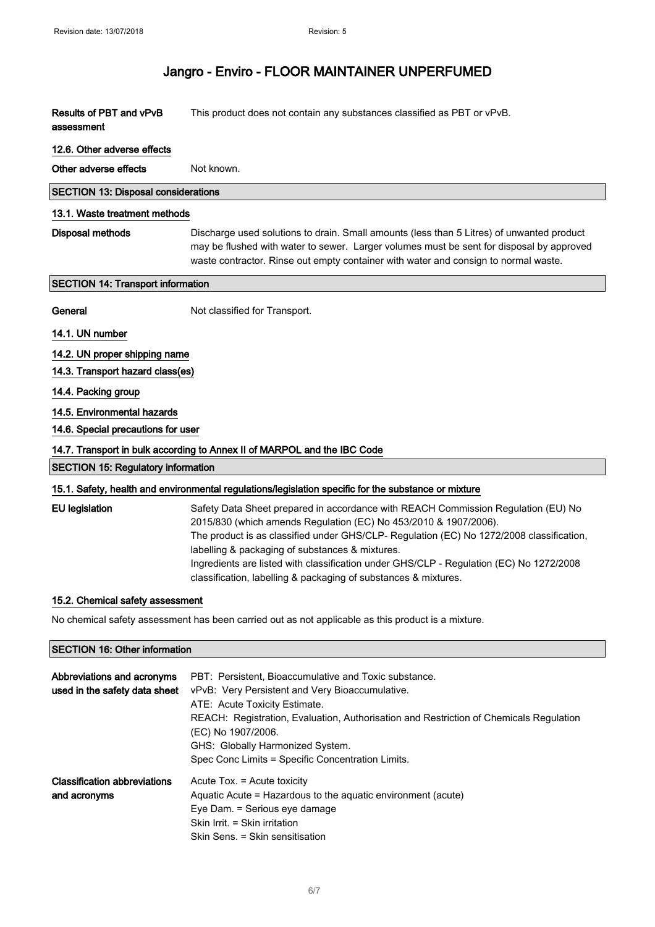# Jangro - Enviro - FLOOR MAINTAINER UNPERFUMED

| Results of PBT and vPvB<br>assessment                                                              | This product does not contain any substances classified as PBT or vPvB.                                                                                                                                                                                                                                                                                                                                                                                            |
|----------------------------------------------------------------------------------------------------|--------------------------------------------------------------------------------------------------------------------------------------------------------------------------------------------------------------------------------------------------------------------------------------------------------------------------------------------------------------------------------------------------------------------------------------------------------------------|
| 12.6. Other adverse effects                                                                        |                                                                                                                                                                                                                                                                                                                                                                                                                                                                    |
| Other adverse effects                                                                              | Not known.                                                                                                                                                                                                                                                                                                                                                                                                                                                         |
| <b>SECTION 13: Disposal considerations</b>                                                         |                                                                                                                                                                                                                                                                                                                                                                                                                                                                    |
| 13.1. Waste treatment methods                                                                      |                                                                                                                                                                                                                                                                                                                                                                                                                                                                    |
| <b>Disposal methods</b>                                                                            | Discharge used solutions to drain. Small amounts (less than 5 Litres) of unwanted product<br>may be flushed with water to sewer. Larger volumes must be sent for disposal by approved<br>waste contractor. Rinse out empty container with water and consign to normal waste.                                                                                                                                                                                       |
| <b>SECTION 14: Transport information</b>                                                           |                                                                                                                                                                                                                                                                                                                                                                                                                                                                    |
| General                                                                                            | Not classified for Transport.                                                                                                                                                                                                                                                                                                                                                                                                                                      |
| 14.1. UN number                                                                                    |                                                                                                                                                                                                                                                                                                                                                                                                                                                                    |
| 14.2. UN proper shipping name                                                                      |                                                                                                                                                                                                                                                                                                                                                                                                                                                                    |
| 14.3. Transport hazard class(es)                                                                   |                                                                                                                                                                                                                                                                                                                                                                                                                                                                    |
| 14.4. Packing group                                                                                |                                                                                                                                                                                                                                                                                                                                                                                                                                                                    |
| 14.5. Environmental hazards                                                                        |                                                                                                                                                                                                                                                                                                                                                                                                                                                                    |
| 14.6. Special precautions for user                                                                 |                                                                                                                                                                                                                                                                                                                                                                                                                                                                    |
|                                                                                                    | 14.7. Transport in bulk according to Annex II of MARPOL and the IBC Code                                                                                                                                                                                                                                                                                                                                                                                           |
| <b>SECTION 15: Regulatory information</b>                                                          |                                                                                                                                                                                                                                                                                                                                                                                                                                                                    |
|                                                                                                    | 15.1. Safety, health and environmental regulations/legislation specific for the substance or mixture                                                                                                                                                                                                                                                                                                                                                               |
| <b>EU</b> legislation                                                                              | Safety Data Sheet prepared in accordance with REACH Commission Regulation (EU) No<br>2015/830 (which amends Regulation (EC) No 453/2010 & 1907/2006).<br>The product is as classified under GHS/CLP- Regulation (EC) No 1272/2008 classification,<br>labelling & packaging of substances & mixtures.<br>Ingredients are listed with classification under GHS/CLP - Regulation (EC) No 1272/2008<br>classification, labelling & packaging of substances & mixtures. |
| 15.2. Chemical safety assessment                                                                   |                                                                                                                                                                                                                                                                                                                                                                                                                                                                    |
| No chemical safety assessment has been carried out as not applicable as this product is a mixture. |                                                                                                                                                                                                                                                                                                                                                                                                                                                                    |
| <b>SECTION 16: Other information</b>                                                               |                                                                                                                                                                                                                                                                                                                                                                                                                                                                    |
| Abbreviations and acronyms<br>used in the safety data sheet                                        | PBT: Persistent, Bioaccumulative and Toxic substance.<br>vPvB: Very Persistent and Very Bioaccumulative.<br>ATE: Acute Toxicity Estimate.<br>REACH: Registration, Evaluation, Authorisation and Restriction of Chemicals Regulation<br>(EC) No 1907/2006.<br>GHS: Globally Harmonized System.<br>Spec Conc Limits = Specific Concentration Limits.                                                                                                                 |

Classification abbreviations and acronyms Acute Tox. = Acute toxicity Aquatic Acute = Hazardous to the aquatic environment (acute) Eye Dam. = Serious eye damage Skin Irrit. = Skin irritation Skin Sens. = Skin sensitisation